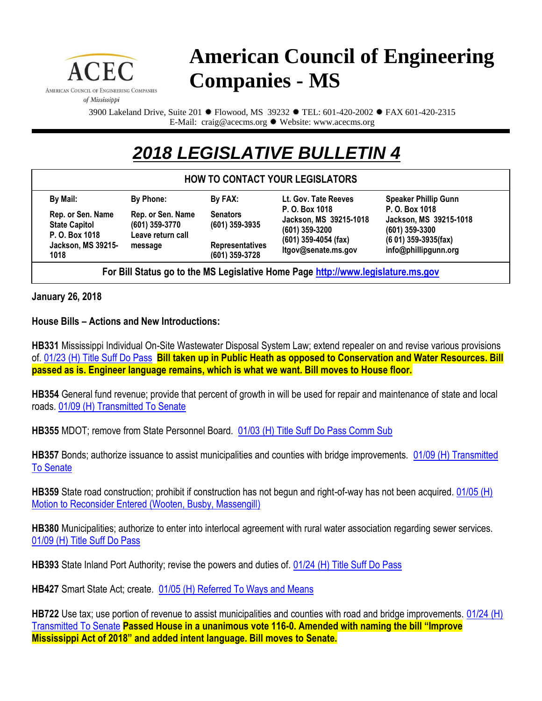

## **American Council of Engineering Companies - MS**

3900 Lakeland Drive, Suite 201  $*$  Flowood, MS 39232  $*$  TEL: 601-420-2002  $*$  FAX 601-420-2315 E-Mail: craig@acecms.org \* Website: www.acecms.org

## *2018 LEGISLATIVE BULLETIN 4*

## **HOW TO CONTACT YOUR LEGISLATORS**

| By Mail:                                                    | By Phone:                                                             | By FAX:                                    | Lt. Gov. Tate Reeves                                                                                          | <b>Speaker Phillip Gunn</b>                                                                                   |
|-------------------------------------------------------------|-----------------------------------------------------------------------|--------------------------------------------|---------------------------------------------------------------------------------------------------------------|---------------------------------------------------------------------------------------------------------------|
| Rep. or Sen. Name<br><b>State Capitol</b><br>P. O. Box 1018 | Rep. or Sen. Name<br>$(601)$ 359-3770<br>Leave return call<br>message | <b>Senators</b><br>$(601)$ 359-3935        | P. O. Box 1018<br>Jackson, MS 39215-1018<br>$(601)$ 359-3200<br>$(601)$ 359-4054 (fax)<br>ltgov@senate.ms.gov | P. O. Box 1018<br>Jackson, MS 39215-1018<br>$(601)$ 359-3300<br>$(601)$ 359-3935(fax)<br>info@phillipgunn.org |
| <b>Jackson, MS 39215-</b><br>1018                           |                                                                       | <b>Representatives</b><br>$(601)$ 359-3728 |                                                                                                               |                                                                                                               |

**For Bill Status go to the MS Legislative Home Page [http://www.legislature.ms.gov](http://www.legislature.ms.gov/)**

**January 26, 2018**

**House Bills – Actions and New Introductions:**

**HB331** Mississippi Individual On-Site Wastewater Disposal System Law; extend repealer on and revise various provisions of. [01/23 \(H\) Title Suff Do Pass](http://billstatus.ls.state.ms.us/2018/pdf/history/HB/HB0331.xml) **Bill taken up in Public Heath as opposed to Conservation and Water Resources. Bill passed as is. Engineer language remains, which is what we want. Bill moves to House floor.**

**HB354** General fund revenue; provide that percent of growth in will be used for repair and maintenance of state and local roads. [01/09 \(H\) Transmitted To Senate](http://billstatus.ls.state.ms.us/2018/pdf/history/HB/HB0354.xml)

**HB355** MDOT; remove from State Personnel Board. [01/03 \(H\) Title Suff Do Pass Comm Sub](http://billstatus.ls.state.ms.us/2018/pdf/history/HB/HB0355.xml)

**HB357** Bonds; authorize issuance to assist municipalities and counties with bridge improvements. [01/09 \(H\) Transmitted](http://billstatus.ls.state.ms.us/2018/pdf/history/HB/HB0357.xml)  [To Senate](http://billstatus.ls.state.ms.us/2018/pdf/history/HB/HB0357.xml)

**HB359** State road construction; prohibit if construction has not begun and right-of-way has not been acquired. [01/05 \(H\)](http://billstatus.ls.state.ms.us/2018/pdf/history/HB/HB0359.xml)  [Motion to Reconsider Entered \(Wooten, Busby, Massengill\)](http://billstatus.ls.state.ms.us/2018/pdf/history/HB/HB0359.xml)

**HB380** Municipalities; authorize to enter into interlocal agreement with rural water association regarding sewer services. [01/09 \(H\) Title Suff Do Pass](http://billstatus.ls.state.ms.us/2018/pdf/history/HB/HB0380.xml)

**HB393** State Inland Port Authority; revise the powers and duties of. [01/24 \(H\) Title Suff Do Pass](http://billstatus.ls.state.ms.us/2018/pdf/history/HB/HB0393.xml)

**HB427** Smart State Act; create. [01/05 \(H\) Referred To Ways and Means](http://billstatus.ls.state.ms.us/2018/pdf/history/HB/HB0427.xml)

**HB722** Use tax; use portion of revenue to assist municipalities and counties with road and bridge improvements. [01/24 \(H\)](http://billstatus.ls.state.ms.us/2018/pdf/history/HB/HB0722.xml)  [Transmitted To Senate](http://billstatus.ls.state.ms.us/2018/pdf/history/HB/HB0722.xml) **Passed House in a unanimous vote 116-0. Amended with naming the bill "Improve Mississippi Act of 2018" and added intent language. Bill moves to Senate.**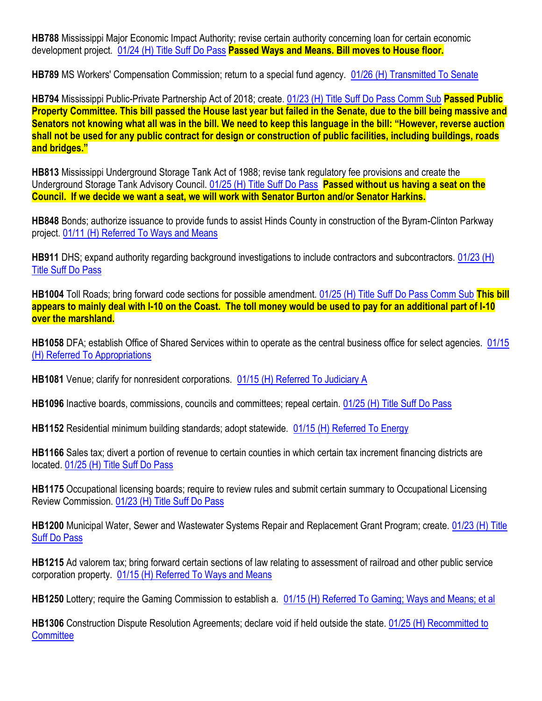**HB788** Mississippi Major Economic Impact Authority; revise certain authority concerning loan for certain economic development project. [01/24 \(H\) Title Suff Do Pass](http://billstatus.ls.state.ms.us/2018/pdf/history/HB/HB0788.xml) **Passed Ways and Means. Bill moves to House floor.**

**HB789** MS Workers' Compensation Commission; return to a special fund agency. [01/26 \(H\) Transmitted To Senate](http://billstatus.ls.state.ms.us/2018/pdf/history/HB/HB0789.xml)

**HB794** Mississippi Public-Private Partnership Act of 2018; create. [01/23 \(H\) Title Suff Do Pass Comm Sub](http://billstatus.ls.state.ms.us/2018/pdf/history/HB/HB0794.xml) **Passed Public Property Committee. This bill passed the House last year but failed in the Senate, due to the bill being massive and Senators not knowing what all was in the bill. We need to keep this language in the bill: "However, reverse auction shall not be used for any public contract for design or construction of public facilities, including buildings, roads and bridges."**

**HB813** Mississippi Underground Storage Tank Act of 1988; revise tank regulatory fee provisions and create the Underground Storage Tank Advisory Council. [01/25 \(H\) Title Suff Do Pass](http://billstatus.ls.state.ms.us/2018/pdf/history/HB/HB0813.xml) **Passed without us having a seat on the Council. If we decide we want a seat, we will work with Senator Burton and/or Senator Harkins.**

**HB848** Bonds; authorize issuance to provide funds to assist Hinds County in construction of the Byram-Clinton Parkway project. [01/11 \(H\) Referred To Ways and Means](http://billstatus.ls.state.ms.us/2018/pdf/history/HB/HB0848.xml)

**HB911** DHS; expand authority regarding background investigations to include contractors and subcontractors. 01/23 (H) [Title Suff Do Pass](http://billstatus.ls.state.ms.us/2018/pdf/history/HB/HB0911.xml)

**HB1004** Toll Roads; bring forward code sections for possible amendment. [01/25 \(H\) Title Suff Do Pass Comm Sub](http://billstatus.ls.state.ms.us/2018/pdf/history/HB/HB1004.xml) **This bill appears to mainly deal with I-10 on the Coast. The toll money would be used to pay for an additional part of I-10 over the marshland.**

**HB1058** DFA; establish Office of Shared Services within to operate as the central business office for select agencies. [01/15](http://billstatus.ls.state.ms.us/2018/pdf/history/HB/HB1058.xml)  [\(H\) Referred To Appropriations](http://billstatus.ls.state.ms.us/2018/pdf/history/HB/HB1058.xml)

**HB1081** Venue; clarify for nonresident corporations. [01/15 \(H\) Referred To Judiciary A](http://billstatus.ls.state.ms.us/2018/pdf/history/HB/HB1081.xml)

**HB1096** Inactive boards, commissions, councils and committees; repeal certain. [01/25 \(H\) Title Suff Do Pass](http://billstatus.ls.state.ms.us/2018/pdf/history/HB/HB1096.xml)

**HB1152** Residential minimum building standards; adopt statewide. [01/15 \(H\) Referred To Energy](http://billstatus.ls.state.ms.us/2018/pdf/history/HB/HB1152.xml)

**HB1166** Sales tax; divert a portion of revenue to certain counties in which certain tax increment financing districts are located. [01/25 \(H\) Title Suff Do Pass](http://billstatus.ls.state.ms.us/2018/pdf/history/HB/HB1166.xml)

**HB1175** Occupational licensing boards; require to review rules and submit certain summary to Occupational Licensing Review Commission. [01/23 \(H\) Title Suff Do Pass](http://billstatus.ls.state.ms.us/2018/pdf/history/HB/HB1175.xml)

**HB1200** Municipal Water, Sewer and Wastewater Systems Repair and Replacement Grant Program; create. [01/23 \(H\) Title](http://billstatus.ls.state.ms.us/2018/pdf/history/HB/HB1200.xml)  [Suff Do Pass](http://billstatus.ls.state.ms.us/2018/pdf/history/HB/HB1200.xml)

**HB1215** Ad valorem tax; bring forward certain sections of law relating to assessment of railroad and other public service corporation property. [01/15 \(H\) Referred To Ways and Means](http://billstatus.ls.state.ms.us/2018/pdf/history/HB/HB1215.xml)

**HB1250** Lottery; require the Gaming Commission to establish a. [01/15 \(H\) Referred To Gaming; Ways and Means; et al](http://billstatus.ls.state.ms.us/2018/pdf/history/HB/HB1250.xml)

**HB1306** Construction Dispute Resolution Agreements; declare void if held outside the state. [01/25 \(H\) Recommitted to](http://billstatus.ls.state.ms.us/2018/pdf/history/HB/HB1306.xml)  **[Committee](http://billstatus.ls.state.ms.us/2018/pdf/history/HB/HB1306.xml)**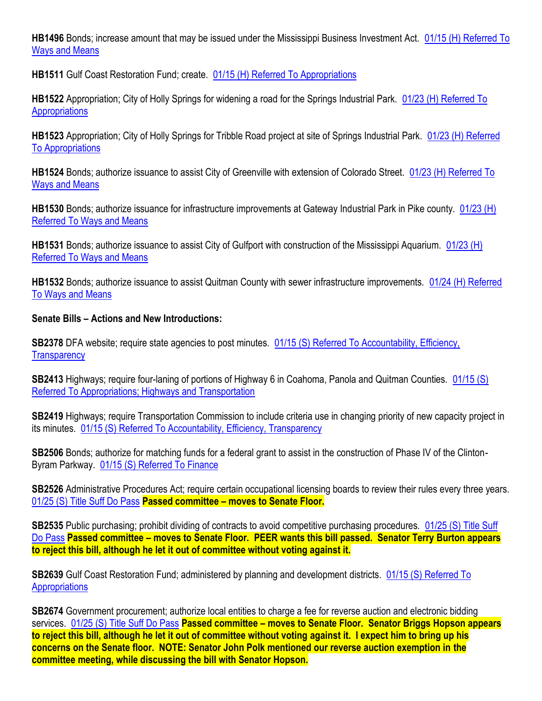**HB1496** Bonds; increase amount that may be issued under the Mississippi Business Investment Act. [01/15 \(H\) Referred To](http://billstatus.ls.state.ms.us/2018/pdf/history/HB/HB1496.xml)  [Ways and Means](http://billstatus.ls.state.ms.us/2018/pdf/history/HB/HB1496.xml)

**HB1511** Gulf Coast Restoration Fund; create. [01/15 \(H\) Referred To Appropriations](http://billstatus.ls.state.ms.us/2018/pdf/history/HB/HB1511.xml)

**HB1522** Appropriation; City of Holly Springs for widening a road for the Springs Industrial Park. [01/23 \(H\) Referred To](http://billstatus.ls.state.ms.us/2018/pdf/history/HB/HB1522.xml)  **[Appropriations](http://billstatus.ls.state.ms.us/2018/pdf/history/HB/HB1522.xml)** 

HB1523 Appropriation; City of Holly Springs for Tribble Road project at site of Springs Industrial Park. 01/23 (H) Referred [To Appropriations](http://billstatus.ls.state.ms.us/2018/pdf/history/HB/HB1523.xml)

**HB1524** Bonds; authorize issuance to assist City of Greenville with extension of Colorado Street. [01/23 \(H\) Referred To](http://billstatus.ls.state.ms.us/2018/pdf/history/HB/HB1524.xml)  [Ways and Means](http://billstatus.ls.state.ms.us/2018/pdf/history/HB/HB1524.xml)

**HB1530** Bonds; authorize issuance for infrastructure improvements at Gateway Industrial Park in Pike county. [01/23 \(H\)](http://billstatus.ls.state.ms.us/2018/pdf/history/HB/HB1530.xml)  [Referred To Ways and Means](http://billstatus.ls.state.ms.us/2018/pdf/history/HB/HB1530.xml)

**HB1531** Bonds; authorize issuance to assist City of Gulfport with construction of the Mississippi Aquarium. [01/23 \(H\)](http://billstatus.ls.state.ms.us/2018/pdf/history/HB/HB1531.xml)  [Referred To Ways and Means](http://billstatus.ls.state.ms.us/2018/pdf/history/HB/HB1531.xml)

**HB1532** Bonds; authorize issuance to assist Quitman County with sewer infrastructure improvements. [01/24 \(H\) Referred](http://billstatus.ls.state.ms.us/2018/pdf/history/HB/HB1532.xml)  [To Ways and Means](http://billstatus.ls.state.ms.us/2018/pdf/history/HB/HB1532.xml)

## **Senate Bills – Actions and New Introductions:**

**SB2378** DFA website; require state agencies to post minutes. 01/15 (S) Referred To Accountability, Efficiency, **[Transparency](http://billstatus.ls.state.ms.us/2018/pdf/history/SB/SB2378.xml)** 

**SB2413** Highways; require four-laning of portions of Highway 6 in Coahoma, Panola and Quitman Counties. [01/15 \(S\)](http://billstatus.ls.state.ms.us/2018/pdf/history/SB/SB2413.xml)  [Referred To Appropriations; Highways and Transportation](http://billstatus.ls.state.ms.us/2018/pdf/history/SB/SB2413.xml)

**SB2419** Highways; require Transportation Commission to include criteria use in changing priority of new capacity project in its minutes. [01/15 \(S\) Referred To Accountability, Efficiency, Transparency](http://billstatus.ls.state.ms.us/2018/pdf/history/SB/SB2419.xml)

**SB2506** Bonds; authorize for matching funds for a federal grant to assist in the construction of Phase IV of the Clinton-Byram Parkway. [01/15 \(S\) Referred To Finance](http://billstatus.ls.state.ms.us/2018/pdf/history/SB/SB2506.xml)

**SB2526** Administrative Procedures Act; require certain occupational licensing boards to review their rules every three years. [01/25 \(S\) Title Suff Do Pass](http://billstatus.ls.state.ms.us/2018/pdf/history/SB/SB2526.xml) **Passed committee – moves to Senate Floor.**

**SB2535** Public purchasing; prohibit dividing of contracts to avoid competitive purchasing procedures. 01/25 (S) Title Suff [Do Pass](http://billstatus.ls.state.ms.us/2018/pdf/history/SB/SB2535.xml) **Passed committee – moves to Senate Floor. PEER wants this bill passed. Senator Terry Burton appears to reject this bill, although he let it out of committee without voting against it.**

**SB2639** Gulf Coast Restoration Fund; administered by planning and development districts. [01/15 \(S\) Referred To](http://billstatus.ls.state.ms.us/2018/pdf/history/SB/SB2639.xml)  **[Appropriations](http://billstatus.ls.state.ms.us/2018/pdf/history/SB/SB2639.xml)** 

**SB2674** Government procurement; authorize local entities to charge a fee for reverse auction and electronic bidding services. [01/25 \(S\) Title Suff Do Pass](http://billstatus.ls.state.ms.us/2018/pdf/history/SB/SB2674.xml) **Passed committee – moves to Senate Floor. Senator Briggs Hopson appears to reject this bill, although he let it out of committee without voting against it. I expect him to bring up his concerns on the Senate floor. NOTE: Senator John Polk mentioned our reverse auction exemption in the committee meeting, while discussing the bill with Senator Hopson.**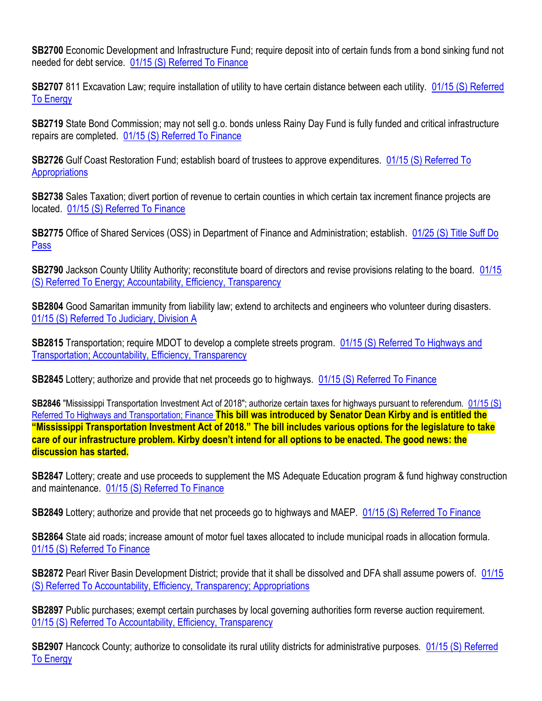**SB2700** Economic Development and Infrastructure Fund; require deposit into of certain funds from a bond sinking fund not needed for debt service. [01/15 \(S\) Referred To Finance](http://billstatus.ls.state.ms.us/2018/pdf/history/SB/SB2700.xml)

**SB2707** 811 Excavation Law; require installation of utility to have certain distance between each utility. 01/15 (S) Referred [To Energy](http://billstatus.ls.state.ms.us/2018/pdf/history/SB/SB2707.xml)

**SB2719** State Bond Commission; may not sell g.o. bonds unless Rainy Day Fund is fully funded and critical infrastructure repairs are completed. [01/15 \(S\) Referred To Finance](http://billstatus.ls.state.ms.us/2018/pdf/history/SB/SB2719.xml)

**SB2726** Gulf Coast Restoration Fund; establish board of trustees to approve expenditures. 01/15 (S) Referred To **[Appropriations](http://billstatus.ls.state.ms.us/2018/pdf/history/SB/SB2726.xml)** 

**SB2738** Sales Taxation; divert portion of revenue to certain counties in which certain tax increment finance projects are located. [01/15 \(S\) Referred To Finance](http://billstatus.ls.state.ms.us/2018/pdf/history/SB/SB2738.xml)

**SB2775** Office of Shared Services (OSS) in Department of Finance and Administration; establish. [01/25 \(S\) Title Suff Do](http://billstatus.ls.state.ms.us/2018/pdf/history/SB/SB2775.xml)  [Pass](http://billstatus.ls.state.ms.us/2018/pdf/history/SB/SB2775.xml)

**SB2790** Jackson County Utility Authority; reconstitute board of directors and revise provisions relating to the board. [01/15](http://billstatus.ls.state.ms.us/2018/pdf/history/SB/SB2790.xml)  [\(S\) Referred To Energy; Accountability, Efficiency, Transparency](http://billstatus.ls.state.ms.us/2018/pdf/history/SB/SB2790.xml)

**SB2804** Good Samaritan immunity from liability law; extend to architects and engineers who volunteer during disasters. [01/15 \(S\) Referred To Judiciary, Division A](http://billstatus.ls.state.ms.us/2018/pdf/history/SB/SB2804.xml)

**SB2815** Transportation; require MDOT to develop a complete streets program. [01/15 \(S\) Referred To Highways and](http://billstatus.ls.state.ms.us/2018/pdf/history/SB/SB2815.xml)  [Transportation; Accountability, Efficiency, Transparency](http://billstatus.ls.state.ms.us/2018/pdf/history/SB/SB2815.xml)

**SB2845** Lottery; authorize and provide that net proceeds go to highways. [01/15 \(S\) Referred To Finance](http://billstatus.ls.state.ms.us/2018/pdf/history/SB/SB2845.xml)

**SB2846** "Mississippi Transportation Investment Act of 2018"; authorize certain taxes for highways pursuant to referendum. [01/15 \(S\)](http://billstatus.ls.state.ms.us/2018/pdf/history/SB/SB2846.xml)  [Referred To Highways and Transportation; Finance](http://billstatus.ls.state.ms.us/2018/pdf/history/SB/SB2846.xml) **This bill was introduced by Senator Dean Kirby and is entitled the "Mississippi Transportation Investment Act of 2018." The bill includes various options for the legislature to take care of our infrastructure problem. Kirby doesn't intend for all options to be enacted. The good news: the discussion has started.**

**SB2847** Lottery; create and use proceeds to supplement the MS Adequate Education program & fund highway construction and maintenance. [01/15 \(S\) Referred To Finance](http://billstatus.ls.state.ms.us/2018/pdf/history/SB/SB2847.xml)

**SB2849** Lottery; authorize and provide that net proceeds go to highways and MAEP. [01/15 \(S\) Referred To Finance](http://billstatus.ls.state.ms.us/2018/pdf/history/SB/SB2849.xml)

**SB2864** State aid roads; increase amount of motor fuel taxes allocated to include municipal roads in allocation formula. [01/15 \(S\) Referred To Finance](http://billstatus.ls.state.ms.us/2018/pdf/history/SB/SB2864.xml)

**SB2872** Pearl River Basin Development District; provide that it shall be dissolved and DFA shall assume powers of. [01/15](http://billstatus.ls.state.ms.us/2018/pdf/history/SB/SB2872.xml)  [\(S\) Referred To Accountability, Efficiency, Transparency; Appropriations](http://billstatus.ls.state.ms.us/2018/pdf/history/SB/SB2872.xml)

**SB2897** Public purchases; exempt certain purchases by local governing authorities form reverse auction requirement. [01/15 \(S\) Referred To Accountability, Efficiency, Transparency](http://billstatus.ls.state.ms.us/2018/pdf/history/SB/SB2897.xml)

**SB2907** Hancock County; authorize to consolidate its rural utility districts for administrative purposes. 01/15 (S) Referred [To Energy](http://billstatus.ls.state.ms.us/2018/pdf/history/SB/SB2907.xml)